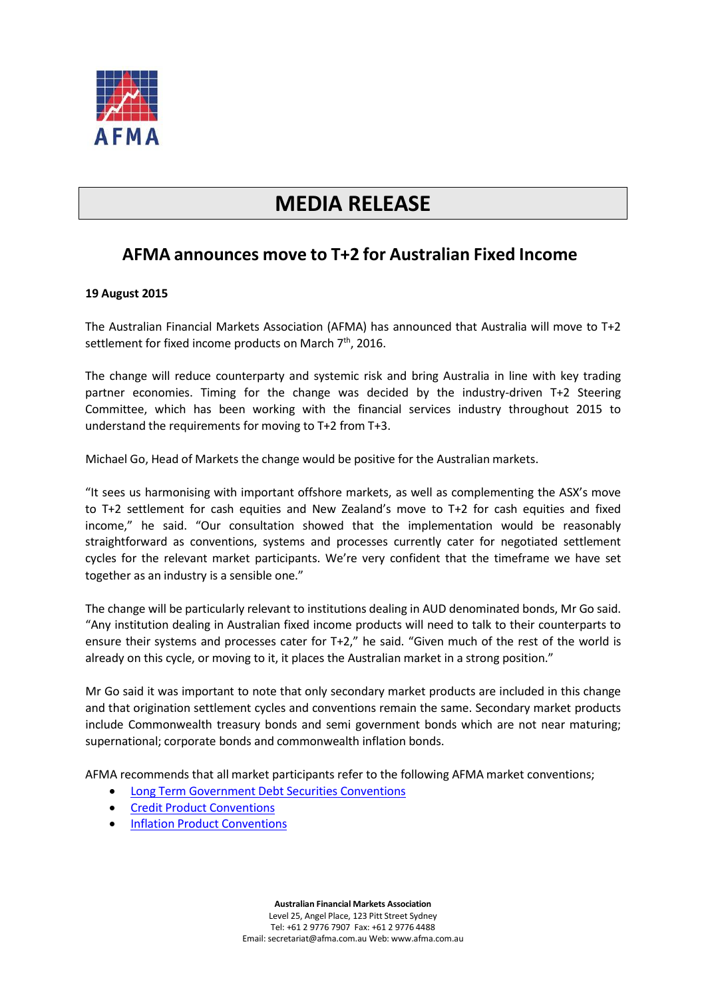

## **MEDIA RELEASE**

## **AFMA announces move to T+2 for Australian Fixed Income**

## **19 August 2015**

The Australian Financial Markets Association (AFMA) has announced that Australia will move to T+2 settlement for fixed income products on March 7<sup>th</sup>, 2016.

The change will reduce counterparty and systemic risk and bring Australia in line with key trading partner economies. Timing for the change was decided by the industry-driven T+2 Steering Committee, which has been working with the financial services industry throughout 2015 to understand the requirements for moving to T+2 from T+3.

Michael Go, Head of Markets the change would be positive for the Australian markets.

"It sees us harmonising with important offshore markets, as well as complementing the ASX's move to T+2 settlement for cash equities and New Zealand's move to T+2 for cash equities and fixed income," he said. "Our consultation showed that the implementation would be reasonably straightforward as conventions, systems and processes currently cater for negotiated settlement cycles for the relevant market participants. We're very confident that the timeframe we have set together as an industry is a sensible one."

The change will be particularly relevant to institutions dealing in AUD denominated bonds, Mr Go said. "Any institution dealing in Australian fixed income products will need to talk to their counterparts to ensure their systems and processes cater for T+2," he said. "Given much of the rest of the world is already on this cycle, or moving to it, it places the Australian market in a strong position."

Mr Go said it was important to note that only secondary market products are included in this change and that origination settlement cycles and conventions remain the same. Secondary market products include Commonwealth treasury bonds and semi government bonds which are not near maturing; supernational; corporate bonds and commonwealth inflation bonds.

AFMA recommends that all market participants refer to the following AFMA market conventions;

- [Long Term Government Debt Securities Conventions](http://www.afma.com.au/standards/market-conventions/Long%20Term%20Government%20Debt%20Securities%20Conventions.pdf)
- Credit Product [Conventions](http://www.afma.com.au/standards/market-conventions/Credit%20Product%20Conventions.pdf)
- [Inflation Product](http://www.afma.com.au/standards/market-conventions/Inflation%20Product%20Conventions.pdf) Conventions

**Australian Financial Markets Association** Level 25, Angel Place, 123 Pitt Street Sydney Tel: +61 2 9776 7907 Fax: +61 2 9776 4488 Email: [secretariat@afma.com.au](mailto:secretariat@afma.com.au) Web: [www.afma.com.au](http://www.afma.com.au/)